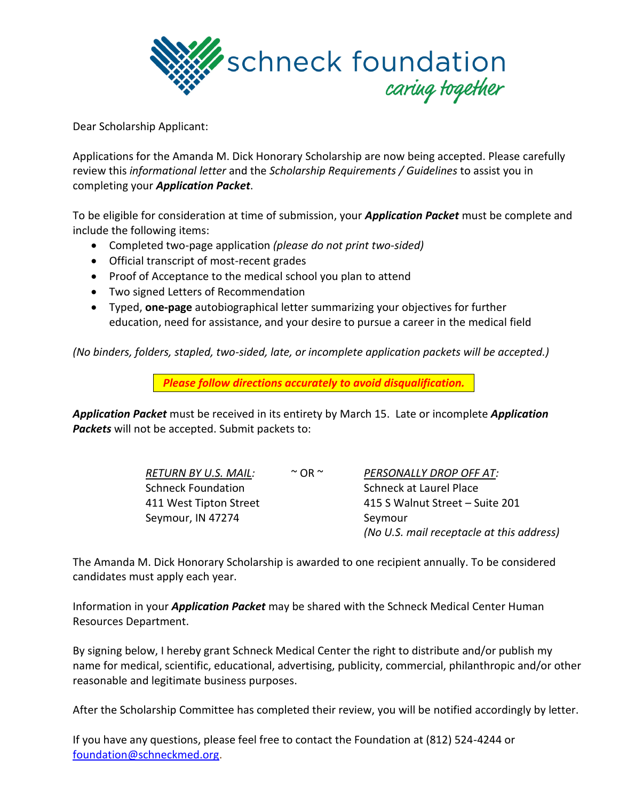

Dear Scholarship Applicant:

Applications for the Amanda M. Dick Honorary Scholarship are now being accepted. Please carefully review this *informational letter* and the *Scholarship Requirements / Guidelines* to assist you in completing your *Application Packet*.

To be eligible for consideration at time of submission, your *Application Packet* must be complete and include the following items:

- Completed two-page application *(please do not print two-sided)*
- Official transcript of most-recent grades
- Proof of Acceptance to the medical school you plan to attend
- Two signed Letters of Recommendation
- Typed, **one-page** autobiographical letter summarizing your objectives for further education, need for assistance, and your desire to pursue a career in the medical field

*(No binders, folders, stapled, two-sided, late, or incomplete application packets will be accepted.)*

*Please follow directions accurately to avoid disqualification.*

*Application Packet* must be received in its entirety by March 15. Late or incomplete *Application Packets* will not be accepted. Submit packets to:

| <b>RETURN BY U.S. MAIL:</b> | $~\sim$ OR $~\sim$ | PERSONALLY DROP OFF AT:                   |
|-----------------------------|--------------------|-------------------------------------------|
| <b>Schneck Foundation</b>   |                    | Schneck at Laurel Place                   |
| 411 West Tipton Street      |                    | 415 S Walnut Street - Suite 201           |
| Seymour, IN 47274           |                    | Seymour                                   |
|                             |                    | (No U.S. mail receptacle at this address) |

The Amanda M. Dick Honorary Scholarship is awarded to one recipient annually. To be considered candidates must apply each year.

Information in your *Application Packet* may be shared with the Schneck Medical Center Human Resources Department.

By signing below, I hereby grant Schneck Medical Center the right to distribute and/or publish my name for medical, scientific, educational, advertising, publicity, commercial, philanthropic and/or other reasonable and legitimate business purposes.

After the Scholarship Committee has completed their review, you will be notified accordingly by letter.

If you have any questions, please feel free to contact the Foundation at (812) 524-4244 or [foundation@schneckmed.org.](mailto:foundation@schneckmed.org)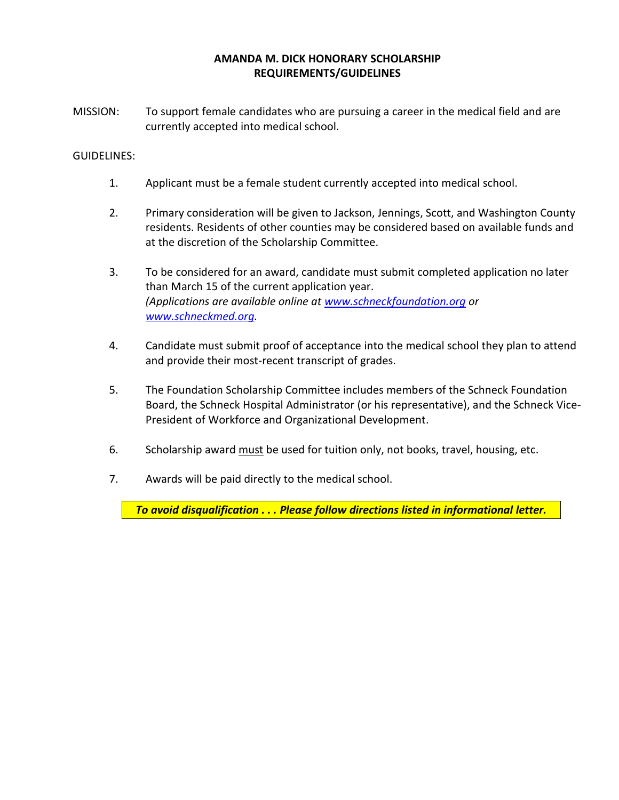## **AMANDA M. DICK HONORARY SCHOLARSHIP REQUIREMENTS/GUIDELINES**

MISSION: To support female candidates who are pursuing a career in the medical field and are currently accepted into medical school.

#### GUIDELINES:

- 1. Applicant must be a female student currently accepted into medical school.
- 2. Primary consideration will be given to Jackson, Jennings, Scott, and Washington County residents. Residents of other counties may be considered based on available funds and at the discretion of the Scholarship Committee.
- 3. To be considered for an award, candidate must submit completed application no later than March 15 of the current application year. *(Applications are available online at [www.schneckfoundation.org](http://www.schneckfoundation.org/) or [www.schneckmed.org.](http://www.schneckmed.org/)*
- 4. Candidate must submit proof of acceptance into the medical school they plan to attend and provide their most-recent transcript of grades.
- 5. The Foundation Scholarship Committee includes members of the Schneck Foundation Board, the Schneck Hospital Administrator (or his representative), and the Schneck Vice-President of Workforce and Organizational Development.
- 6. Scholarship award must be used for tuition only, not books, travel, housing, etc.
- 7. Awards will be paid directly to the medical school.

*To avoid disqualification . . . Please follow directions listed in informational letter.*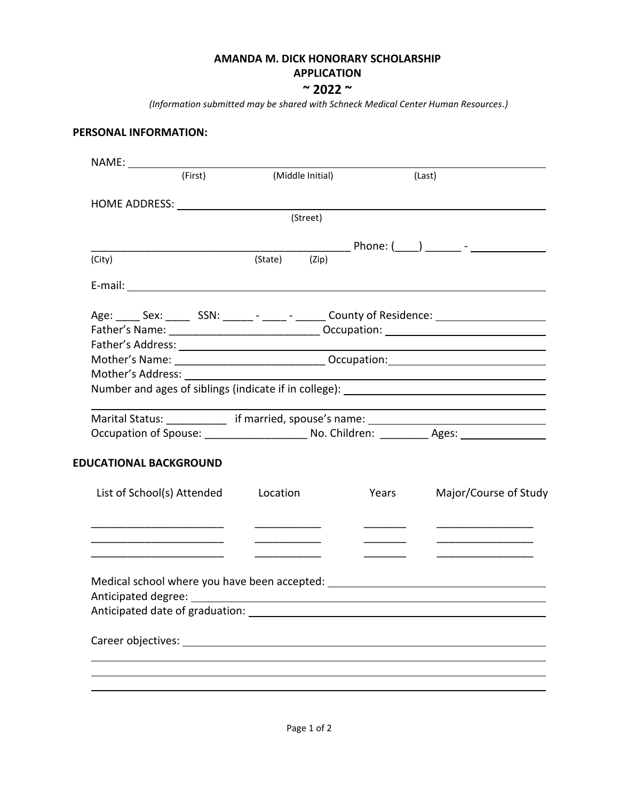## **AMANDA M. DICK HONORARY SCHOLARSHIP**

# **APPLICATION**

**~ 2022 ~**

*(Information submitted may be shared with Schneck Medical Center Human Resources.)* 

## **PERSONAL INFORMATION:**

| (First)                                                                                                                                                                                                                        | (Middle Initial)                |       | (Last)                                  |
|--------------------------------------------------------------------------------------------------------------------------------------------------------------------------------------------------------------------------------|---------------------------------|-------|-----------------------------------------|
| HOME ADDRESS: New York Contract the Manual Address of the Manual Address of the Manual Address of the Manual Address of the Manual Address of the Manual Address of the Manual Address of the Manual Address of the Manual Add |                                 |       |                                         |
|                                                                                                                                                                                                                                | (Street)                        |       |                                         |
|                                                                                                                                                                                                                                |                                 |       |                                         |
| (City)                                                                                                                                                                                                                         | (State) (Zip)                   |       |                                         |
|                                                                                                                                                                                                                                |                                 |       |                                         |
| Age: _____ Sex: ______ SSN: ______ - _____ - ______ County of Residence: __________________________                                                                                                                            |                                 |       |                                         |
|                                                                                                                                                                                                                                |                                 |       |                                         |
|                                                                                                                                                                                                                                |                                 |       |                                         |
|                                                                                                                                                                                                                                |                                 |       |                                         |
|                                                                                                                                                                                                                                |                                 |       |                                         |
| Number and ages of siblings (indicate if in college): __________________________                                                                                                                                               |                                 |       |                                         |
| Marital Status: _____________ if married, spouse's name: ________________________                                                                                                                                              |                                 |       |                                         |
| Occupation of Spouse: _________________________ No. Children: ___________ Ages: ___________________                                                                                                                            |                                 |       |                                         |
| <b>EDUCATIONAL BACKGROUND</b>                                                                                                                                                                                                  |                                 |       |                                         |
| List of School(s) Attended                                                                                                                                                                                                     | Location                        | Years | Major/Course of Study                   |
|                                                                                                                                                                                                                                | <u> Listen de la componenta</u> |       | <u> 1989 - Johann Barbara, martin a</u> |
|                                                                                                                                                                                                                                |                                 |       |                                         |
| Medical school where you have been accepted: ___________________________________                                                                                                                                               |                                 |       |                                         |
| Anticipated date of graduation:                                                                                                                                                                                                |                                 |       |                                         |
| Career objectives: The contract of the contract of the contract of the contract of the contract of the contract of the contract of the contract of the contract of the contract of the contract of the contract of the contrac |                                 |       |                                         |
|                                                                                                                                                                                                                                |                                 |       |                                         |
|                                                                                                                                                                                                                                |                                 |       |                                         |
|                                                                                                                                                                                                                                |                                 |       |                                         |